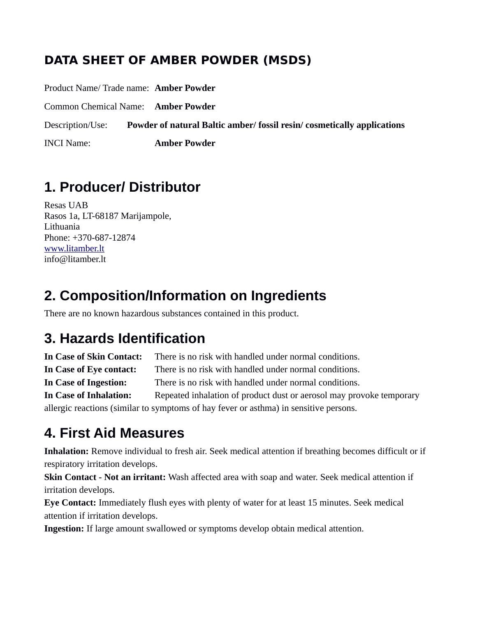#### **DATA SHEET OF AMBER POWDER (MSDS)**

Product Name/ Trade name: **Amber Powder** 

Common Chemical Name: **Amber Powder** 

Description/Use: **Powder of natural Baltic amber/ fossil resin/ cosmetically applications** 

INCI Name: **Amber Powder** 

#### **1. Producer/ Distributor**

Resas UAB Rasos 1a, LT-68187 Marijampole, Lithuania Phone: +370-687-12874 [www.litamber.lt](http://www.litamber.lt/) info@litamber.lt

## **2. Composition/Information on Ingredients**

There are no known hazardous substances contained in this product.

#### **3. Hazards Identification**

**In Case of Skin Contact:** There is no risk with handled under normal conditions. **In Case of Eye contact:** There is no risk with handled under normal conditions. **In Case of Ingestion:** There is no risk with handled under normal conditions. **In Case of Inhalation:** Repeated inhalation of product dust or aerosol may provoke temporary allergic reactions (similar to symptoms of hay fever or asthma) in sensitive persons.

## **4. First Aid Measures**

**Inhalation:** Remove individual to fresh air. Seek medical attention if breathing becomes difficult or if respiratory irritation develops.

**Skin Contact - Not an irritant:** Wash affected area with soap and water. Seek medical attention if irritation develops.

**Eye Contact:** Immediately flush eyes with plenty of water for at least 15 minutes. Seek medical attention if irritation develops.

**Ingestion:** If large amount swallowed or symptoms develop obtain medical attention.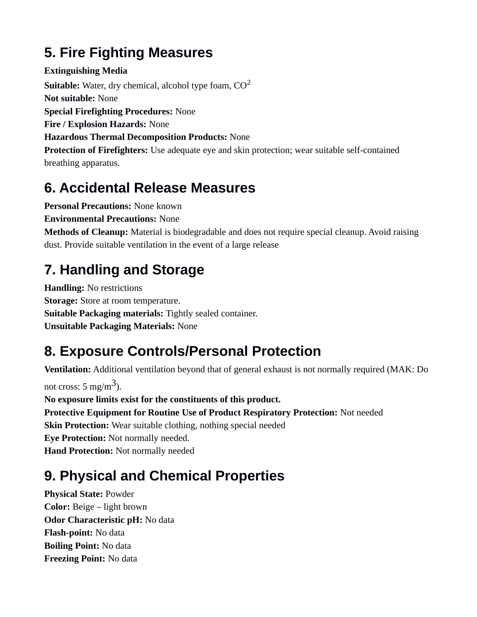## **5. Fire Fighting Measures**

**Extinguishing Media Suitable:** Water, dry chemical, alcohol type foam,  $CO<sup>2</sup>$ **Not suitable:** None **Special Firefighting Procedures:** None **Fire / Explosion Hazards:** None **Hazardous Thermal Decomposition Products:** None **Protection of Firefighters:** Use adequate eye and skin protection; wear suitable self-contained breathing apparatus.

#### **6. Accidental Release Measures**

**Personal Precautions:** None known

**Environmental Precautions:** None

**Methods of Cleanup:** Material is biodegradable and does not require special cleanup. Avoid raising dust. Provide suitable ventilation in the event of a large release

## **7. Handling and Storage**

**Handling:** No restrictions **Storage:** Store at room temperature. **Suitable Packaging materials:** Tightly sealed container. **Unsuitable Packaging Materials:** None

# **8. Exposure Controls/Personal Protection**

**Ventilation:** Additional ventilation beyond that of general exhaust is not normally required (MAK: Do not cross: 5 mg/m $^3$ ). **No exposure limits exist for the constituents of this product. Protective Equipment for Routine Use of Product Respiratory Protection:** Not needed **Skin Protection:** Wear suitable clothing, nothing special needed **Eye Protection:** Not normally needed. **Hand Protection:** Not normally needed

## **9. Physical and Chemical Properties**

**Physical State:** Powder **Color:** Beige – light brown **Odor Characteristic pH:** No data **Flash-point:** No data **Boiling Point:** No data **Freezing Point:** No data